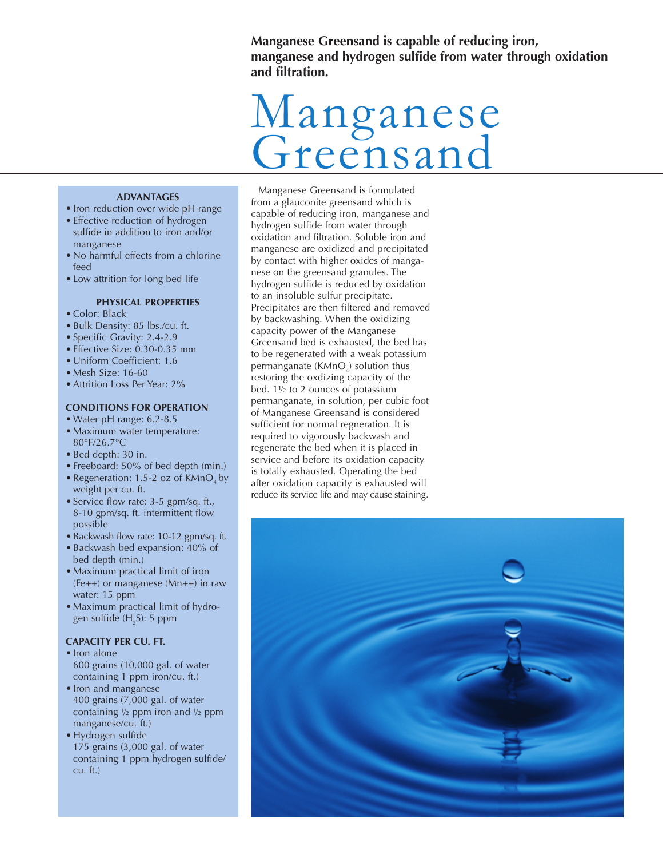**Manganese Greensand is capable of reducing iron, manganese and hydrogen sulfide from water through oxidation and filtration.**

# Manganese Greensand

#### **ADVANTAGES**

- Iron reduction over wide pH range • Effective reduction of hydrogen sulfide in addition to iron and/or manganese
- No harmful effects from a chlorine feed
- Low attrition for long bed life

### **PHYSICAL PROPERTIES**

- Color: Black
- Bulk Density: 85 lbs./cu. ft.
- Specific Gravity: 2.4-2.9
- Effective Size: 0.30-0.35 mm
- Uniform Coefficient: 1.6
- Mesh Size: 16-60
- Attrition Loss Per Year: 2%

#### **CONDITIONS FOR OPERATION**

- Water pH range: 6.2-8.5
- Maximum water temperature: 80°F/26.7°C
- Bed depth: 30 in.
- Freeboard: 50% of bed depth (min.)
- Regeneration: 1.5-2 oz of  $KMnO<sub>4</sub>$  by weight per cu. ft.
- Service flow rate: 3-5 gpm/sq. ft., 8-10 gpm/sq. ft. intermittent flow possible
- Backwash flow rate: 10-12 gpm/sq. ft.
- Backwash bed expansion: 40% of
- bed depth (min.) • Maximum practical limit of iron (Fe++) or manganese (Mn++) in raw water: 15 ppm
- Maximum practical limit of hydrogen sulfide (H $_{2}$ S): 5 ppm

#### **CAPACITY PER CU. FT.**

- Iron alone
- 600 grains (10,000 gal. of water containing 1 ppm iron/cu. ft.)
- Iron and manganese 400 grains (7,000 gal. of water containing  $\frac{1}{2}$  ppm iron and  $\frac{1}{2}$  ppm manganese/cu. ft.)
- Hydrogen sulfide 175 grains (3,000 gal. of water containing 1 ppm hydrogen sulfide/ cu. ft.)

Manganese Greensand is formulated from a glauconite greensand which is capable of reducing iron, manganese and hydrogen sulfide from water through oxidation and filtration. Soluble iron and manganese are oxidized and precipitated by contact with higher oxides of manganese on the greensand granules. The hydrogen sulfide is reduced by oxidation to an insoluble sulfur precipitate. Precipitates are then filtered and removed by backwashing. When the oxidizing capacity power of the Manganese Greensand bed is exhausted, the bed has to be regenerated with a weak potassium permanganate (KMnO $_{\textrm{\tiny{d}}}$ ) solution thus restoring the oxdizing capacity of the bed. 1½ to 2 ounces of potassium permanganate, in solution, per cubic foot of Manganese Greensand is considered sufficient for normal regneration. It is required to vigorously backwash and regenerate the bed when it is placed in service and before its oxidation capacity is totally exhausted. Operating the bed after oxidation capacity is exhausted will reduce its service life and may cause staining.